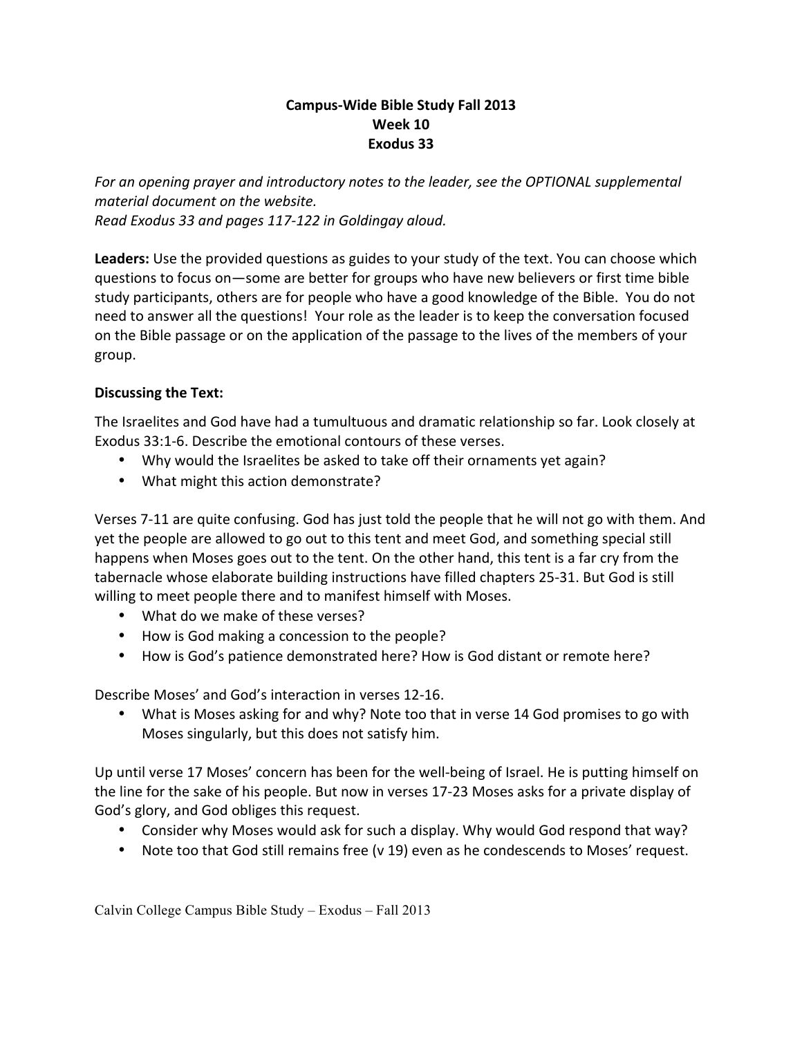## **Campus-Wide Bible Study Fall 2013 Week 10 Exodus 33**

For an opening prayer and introductory notes to the leader, see the OPTIONAL supplemental *material document on the website. Read Exodus 33 and pages 117-122 in Goldingay aloud.*

Leaders: Use the provided questions as guides to your study of the text. You can choose which questions to focus on—some are better for groups who have new believers or first time bible study participants, others are for people who have a good knowledge of the Bible. You do not need to answer all the questions! Your role as the leader is to keep the conversation focused on the Bible passage or on the application of the passage to the lives of the members of your group.

## **Discussing the Text:**

The Israelites and God have had a tumultuous and dramatic relationship so far. Look closely at Exodus 33:1-6. Describe the emotional contours of these verses.

- Why would the Israelites be asked to take off their ornaments yet again?
- What might this action demonstrate?

Verses 7-11 are quite confusing. God has just told the people that he will not go with them. And yet the people are allowed to go out to this tent and meet God, and something special still happens when Moses goes out to the tent. On the other hand, this tent is a far cry from the tabernacle whose elaborate building instructions have filled chapters 25-31. But God is still willing to meet people there and to manifest himself with Moses.

- What do we make of these verses?
- How is God making a concession to the people?
- How is God's patience demonstrated here? How is God distant or remote here?

Describe Moses' and God's interaction in verses 12-16.

• What is Moses asking for and why? Note too that in verse 14 God promises to go with Moses singularly, but this does not satisfy him.

Up until verse 17 Moses' concern has been for the well-being of Israel. He is putting himself on the line for the sake of his people. But now in verses 17-23 Moses asks for a private display of God's glory, and God obliges this request.

- Consider why Moses would ask for such a display. Why would God respond that way?
- Note too that God still remains free (v 19) even as he condescends to Moses' request.

Calvin College Campus Bible Study – Exodus – Fall 2013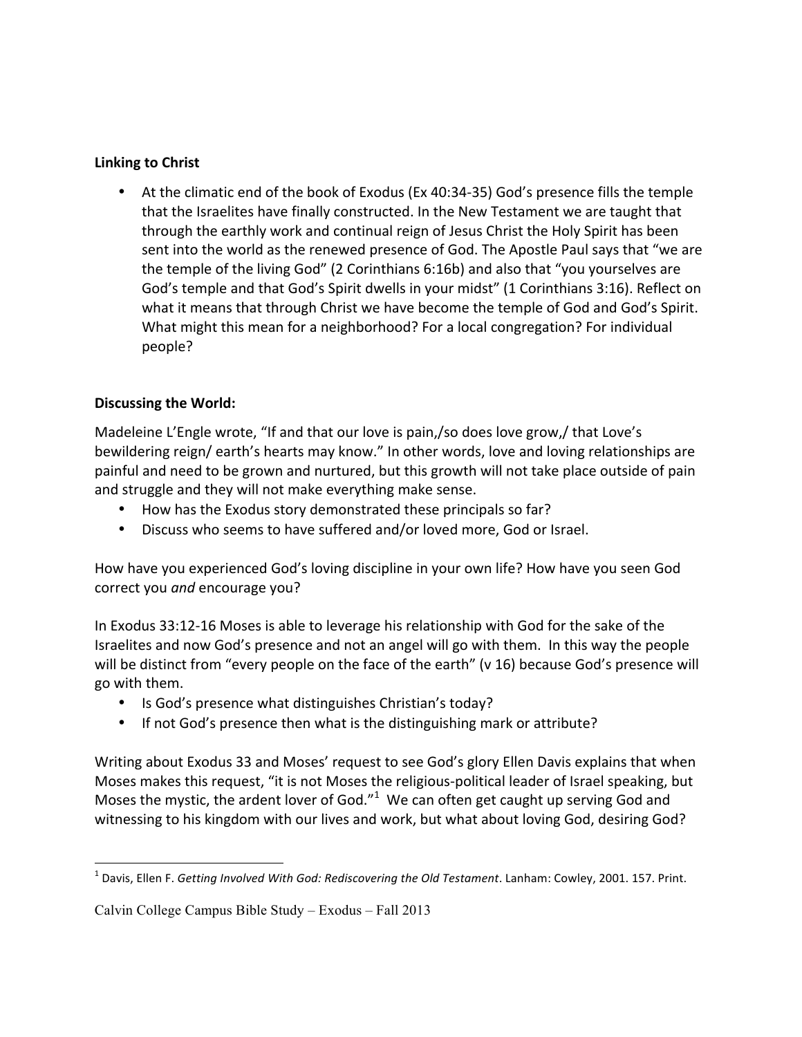## **Linking to Christ**

• At the climatic end of the book of Exodus (Ex 40:34-35) God's presence fills the temple that the Israelites have finally constructed. In the New Testament we are taught that through the earthly work and continual reign of Jesus Christ the Holy Spirit has been sent into the world as the renewed presence of God. The Apostle Paul says that "we are the temple of the living God" (2 Corinthians  $6:16b$ ) and also that "you yourselves are God's temple and that God's Spirit dwells in your midst" (1 Corinthians 3:16). Reflect on what it means that through Christ we have become the temple of God and God's Spirit. What might this mean for a neighborhood? For a local congregation? For individual people? 

## **Discussing the World:**

Madeleine L'Engle wrote, "If and that our love is pain,/so does love grow,/ that Love's bewildering reign/ earth's hearts may know." In other words, love and loving relationships are painful and need to be grown and nurtured, but this growth will not take place outside of pain and struggle and they will not make everything make sense.

- How has the Exodus story demonstrated these principals so far?
- Discuss who seems to have suffered and/or loved more, God or Israel.

How have you experienced God's loving discipline in your own life? How have you seen God correct you and encourage you?

In Exodus 33:12-16 Moses is able to leverage his relationship with God for the sake of the Israelites and now God's presence and not an angel will go with them. In this way the people will be distinct from "every people on the face of the earth" (v 16) because God's presence will go with them. 

- Is God's presence what distinguishes Christian's today?
- If not God's presence then what is the distinguishing mark or attribute?

Writing about Exodus 33 and Moses' request to see God's glory Ellen Davis explains that when Moses makes this request, "it is not Moses the religious-political leader of Israel speaking, but Moses the mystic, the ardent lover of God." $1$  We can often get caught up serving God and witnessing to his kingdom with our lives and work, but what about loving God, desiring God?

 

<sup>&</sup>lt;sup>1</sup> Davis, Ellen F. *Getting Involved With God: Rediscovering the Old Testament*. Lanham: Cowley, 2001. 157. Print.

Calvin College Campus Bible Study – Exodus – Fall 2013